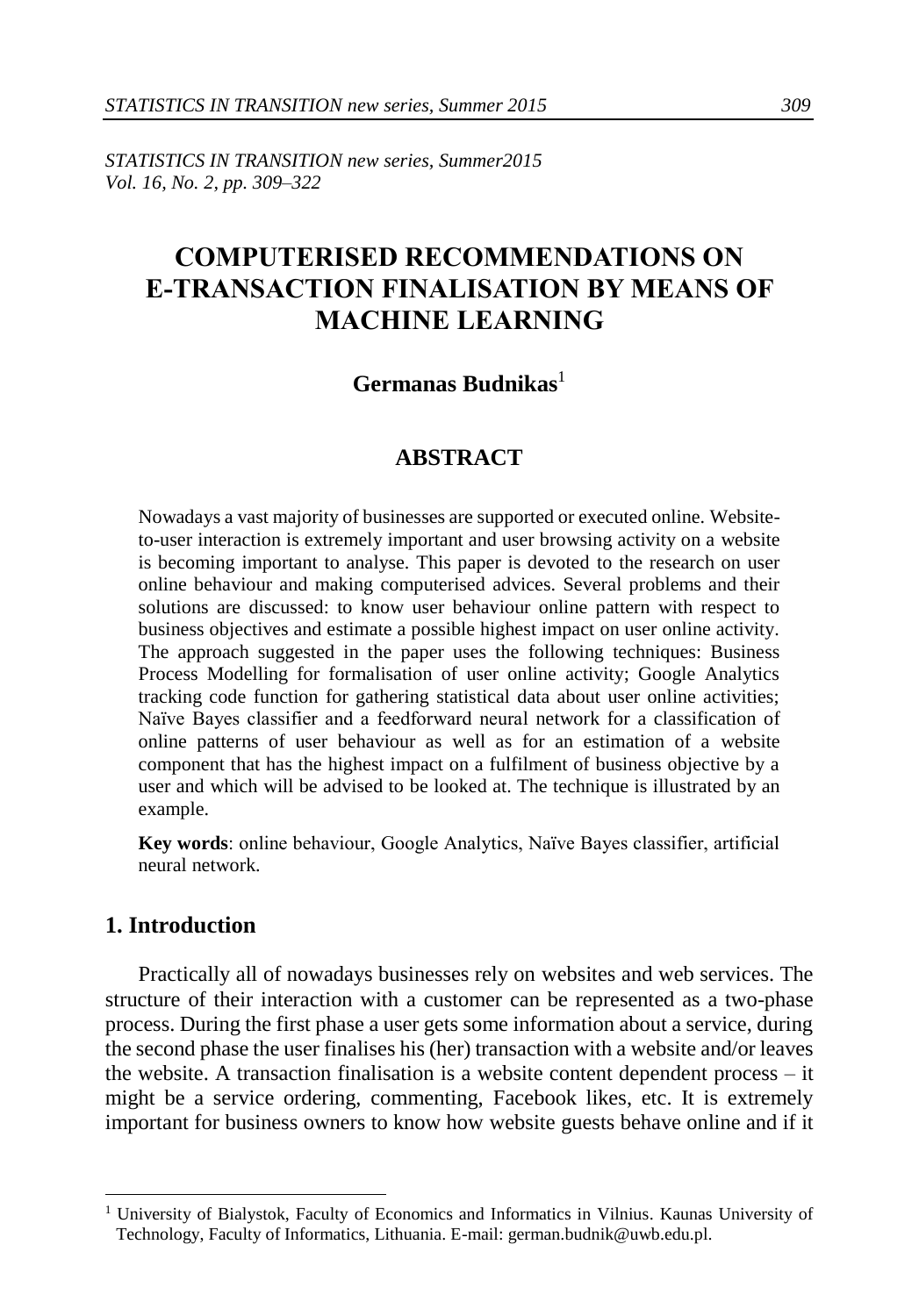*STATISTICS IN TRANSITION new series, Summer2015 Vol. 16, No. 2, pp. 309–322* 

# **COMPUTERISED RECOMMENDATIONS ON E-TRANSACTION FINALISATION BY MEANS OF MACHINE LEARNING**

#### **Germanas Budnikas**<sup>1</sup>

#### **ABSTRACT**

Nowadays a vast majority of businesses are supported or executed online. Websiteto-user interaction is extremely important and user browsing activity on a website is becoming important to analyse. This paper is devoted to the research on user online behaviour and making computerised advices. Several problems and their solutions are discussed: to know user behaviour online pattern with respect to business objectives and estimate a possible highest impact on user online activity. The approach suggested in the paper uses the following techniques: Business Process Modelling for formalisation of user online activity; Google Analytics tracking code function for gathering statistical data about user online activities; Naïve Bayes classifier and a feedforward neural network for a classification of online patterns of user behaviour as well as for an estimation of a website component that has the highest impact on a fulfilment of business objective by a user and which will be advised to be looked at. The technique is illustrated by an example.

**Key words**: online behaviour, Google Analytics, Naïve Bayes classifier, artificial neural network.

#### **1. Introduction**

-

Practically all of nowadays businesses rely on websites and web services. The structure of their interaction with a customer can be represented as a two-phase process. During the first phase a user gets some information about a service, during the second phase the user finalises his (her) transaction with a website and/or leaves the website. A transaction finalisation is a website content dependent process – it might be a service ordering, commenting, Facebook likes, etc. It is extremely important for business owners to know how website guests behave online and if it

<sup>&</sup>lt;sup>1</sup> University of Bialystok, Faculty of Economics and Informatics in Vilnius. Kaunas University of Technology, Faculty of Informatics, Lithuania. E-mail[: german.budnik@uwb.edu.pl.](mailto:german.budnik@uwb.edu.pl)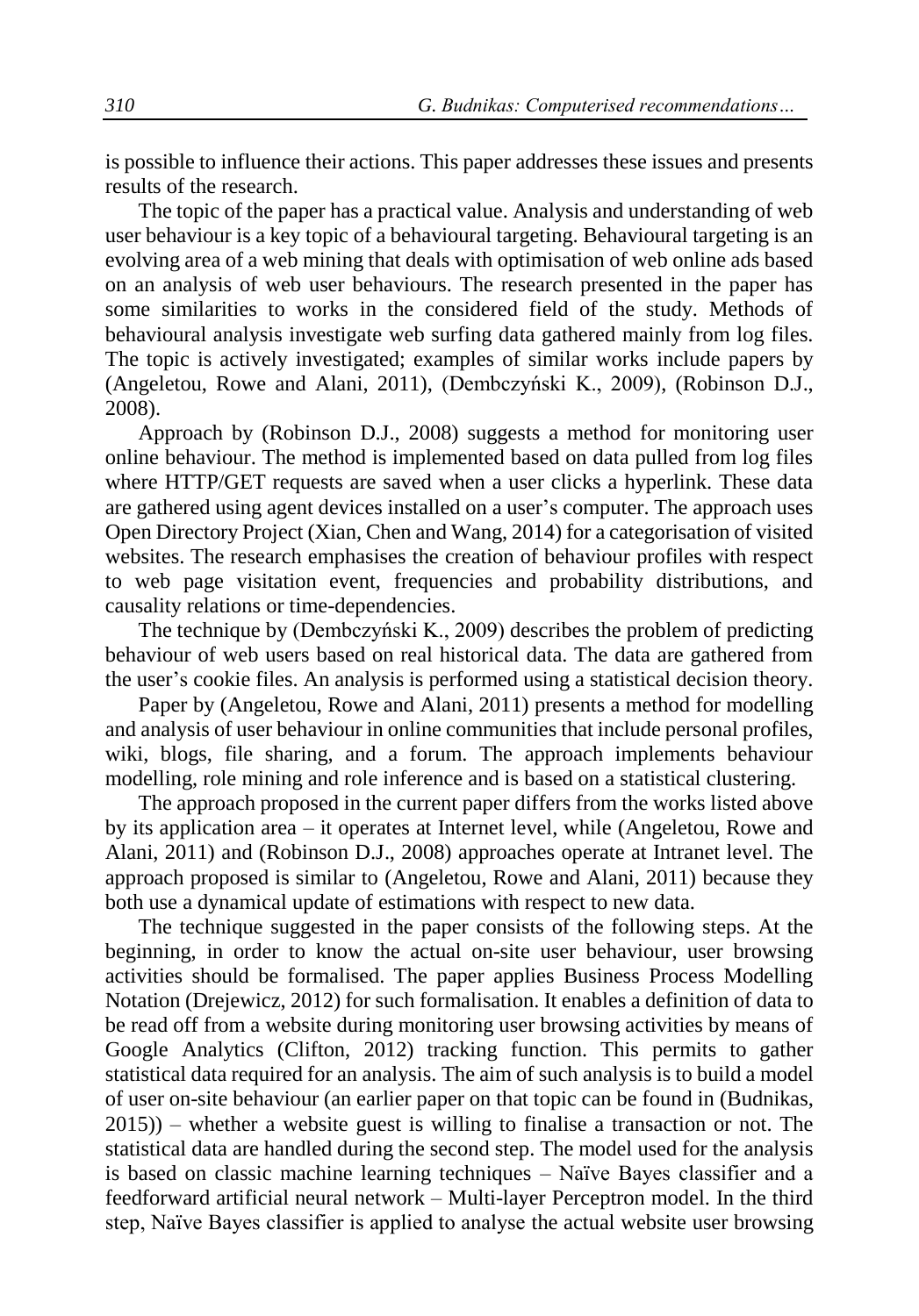is possible to influence their actions. This paper addresses these issues and presents results of the research.

The topic of the paper has a practical value. Analysis and understanding of web user behaviour is a key topic of a behavioural targeting. Behavioural targeting is an evolving area of a web mining that deals with optimisation of web online ads based on an analysis of web user behaviours. The research presented in the paper has some similarities to works in the considered field of the study. Methods of behavioural analysis investigate web surfing data gathered mainly from log files. The topic is actively investigated; examples of similar works include papers by (Angeletou, Rowe and Alani, 2011), (Dembczyński K., 2009), (Robinson D.J., 2008).

Approach by (Robinson D.J., 2008) suggests a method for monitoring user online behaviour. The method is implemented based on data pulled from log files where HTTP/GET requests are saved when a user clicks a hyperlink. These data are gathered using agent devices installed on a user's computer. The approach uses Open Directory Project (Xian, Chen and Wang, 2014) for a categorisation of visited websites. The research emphasises the creation of behaviour profiles with respect to web page visitation event, frequencies and probability distributions, and causality relations or time-dependencies.

The technique by (Dembczyński K., 2009) describes the problem of predicting behaviour of web users based on real historical data. The data are gathered from the user's cookie files. An analysis is performed using a statistical decision theory.

Paper by (Angeletou, Rowe and Alani, 2011) presents a method for modelling and analysis of user behaviour in online communities that include personal profiles, wiki, blogs, file sharing, and a forum. The approach implements behaviour modelling, role mining and role inference and is based on a statistical clustering.

The approach proposed in the current paper differs from the works listed above by its application area – it operates at Internet level, while (Angeletou, Rowe and Alani, 2011) and (Robinson D.J., 2008) approaches operate at Intranet level. The approach proposed is similar to (Angeletou, Rowe and Alani, 2011) because they both use a dynamical update of estimations with respect to new data.

The technique suggested in the paper consists of the following steps. At the beginning, in order to know the actual on-site user behaviour, user browsing activities should be formalised. The paper applies Business Process Modelling Notation (Drejewicz, 2012) for such formalisation. It enables a definition of data to be read off from a website during monitoring user browsing activities by means of Google Analytics (Clifton, 2012) tracking function. This permits to gather statistical data required for an analysis. The aim of such analysis is to build a model of user on-site behaviour (an earlier paper on that topic can be found in (Budnikas, 2015)) – whether a website guest is willing to finalise a transaction or not. The statistical data are handled during the second step. The model used for the analysis is based on classic machine learning techniques – Naïve Bayes classifier and a feedforward artificial neural network – Multi-layer Perceptron model. In the third step, Naïve Bayes classifier is applied to analyse the actual website user browsing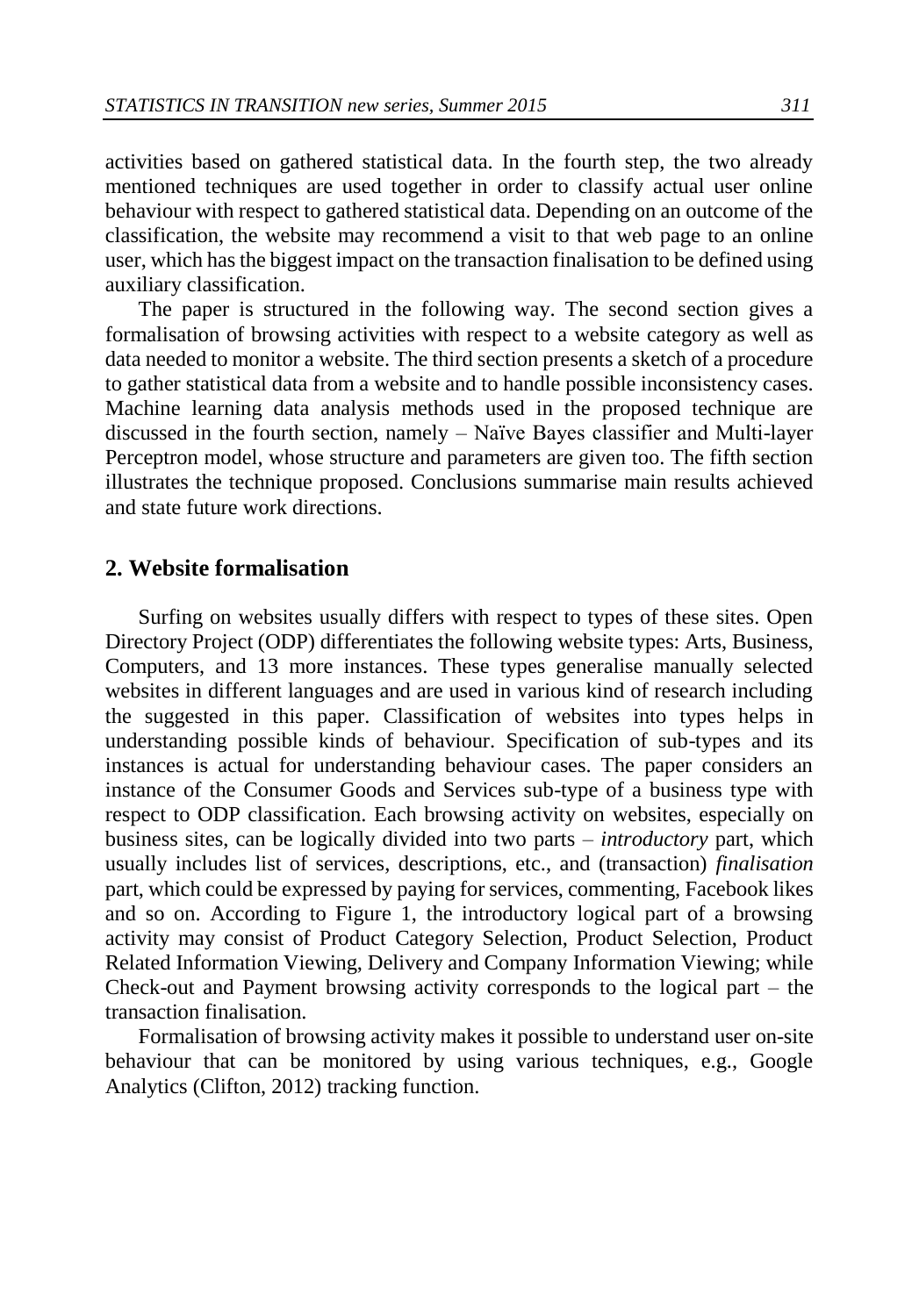activities based on gathered statistical data. In the fourth step, the two already mentioned techniques are used together in order to classify actual user online behaviour with respect to gathered statistical data. Depending on an outcome of the classification, the website may recommend a visit to that web page to an online user, which has the biggest impact on the transaction finalisation to be defined using auxiliary classification.

The paper is structured in the following way. The second section gives a formalisation of browsing activities with respect to a website category as well as data needed to monitor a website. The third section presents a sketch of a procedure to gather statistical data from a website and to handle possible inconsistency cases. Machine learning data analysis methods used in the proposed technique are discussed in the fourth section, namely – Naïve Bayes classifier and Multi-layer Perceptron model, whose structure and parameters are given too. The fifth section illustrates the technique proposed. Conclusions summarise main results achieved and state future work directions.

#### **2. Website formalisation**

Surfing on websites usually differs with respect to types of these sites. Open Directory Project (ODP) differentiates the following website types: Arts, Business, Computers, and 13 more instances. These types generalise manually selected websites in different languages and are used in various kind of research including the suggested in this paper. Classification of websites into types helps in understanding possible kinds of behaviour. Specification of sub-types and its instances is actual for understanding behaviour cases. The paper considers an instance of the Consumer Goods and Services sub-type of a business type with respect to ODP classification. Each browsing activity on websites, especially on business sites, can be logically divided into two parts – *introductory* part, which usually includes list of services, descriptions, etc., and (transaction) *finalisation* part, which could be expressed by paying for services, commenting, Facebook likes and so on. According to Figure 1, the introductory logical part of a browsing activity may consist of Product Category Selection, Product Selection, Product Related Information Viewing, Delivery and Company Information Viewing; while Check-out and Payment browsing activity corresponds to the logical part – the transaction finalisation.

Formalisation of browsing activity makes it possible to understand user on-site behaviour that can be monitored by using various techniques, e.g., Google Analytics (Clifton, 2012) tracking function.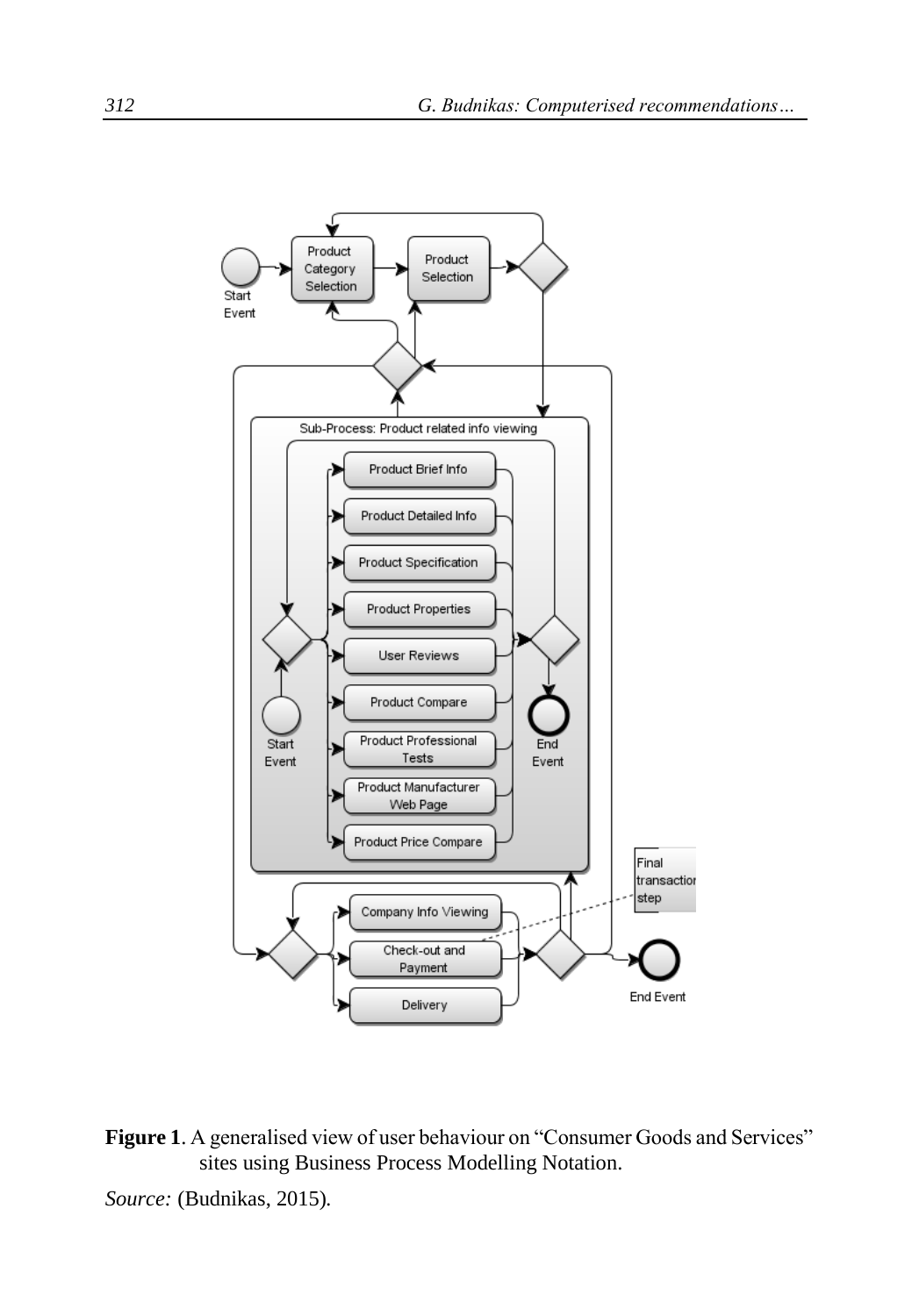

**Figure 1**. A generalised view of user behaviour on "Consumer Goods and Services" sites using Business Process Modelling Notation.

*Source:* (Budnikas, 2015)*.*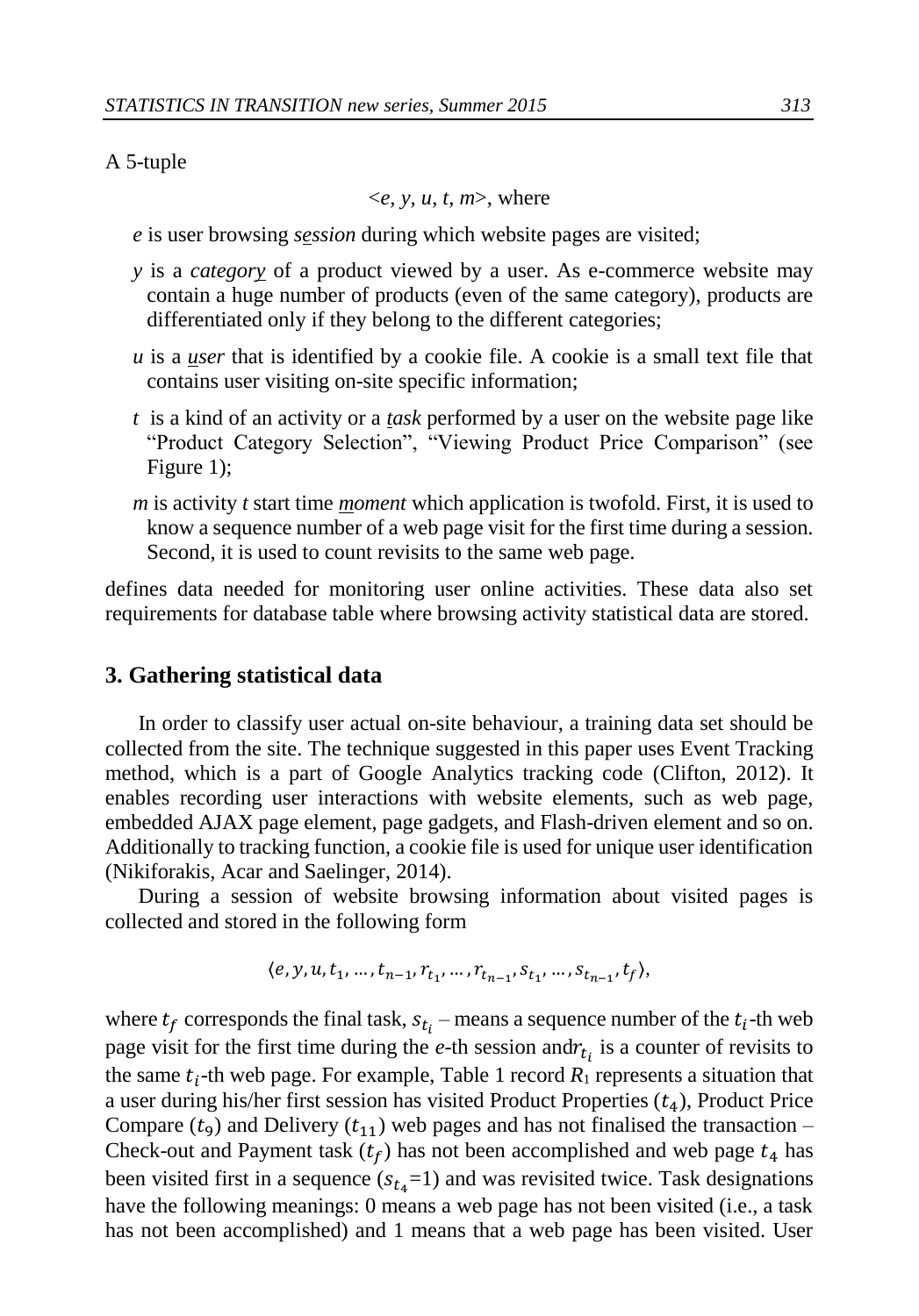#### A 5-tuple

$$
\langle e, y, u, t, m \rangle
$$
, where

- *e* is user browsing *session* during which website pages are visited;
- *y* is a *category* of a product viewed by a user. As e-commerce website may contain a huge number of products (even of the same category), products are differentiated only if they belong to the different categories;
- *u* is a *user* that is identified by a cookie file. A cookie is a small text file that contains user visiting on-site specific information;
- *t* is a kind of an activity or a *task* performed by a user on the website page like "Product Category Selection", "Viewing Product Price Comparison" (see Figure 1);
- *m* is activity *t* start time *moment* which application is twofold. First, it is used to know a sequence number of a web page visit for the first time during a session. Second, it is used to count revisits to the same web page.

defines data needed for monitoring user online activities. These data also set requirements for database table where browsing activity statistical data are stored.

#### **3. Gathering statistical data**

In order to classify user actual on-site behaviour, a training data set should be collected from the site. The technique suggested in this paper uses Event Tracking method, which is a part of Google Analytics tracking code (Clifton, 2012). It enables recording user interactions with website elements, such as web page, embedded AJAX page element, page gadgets, and Flash-driven element and so on. Additionally to tracking function, a cookie file is used for unique user identification (Nikiforakis, Acar and Saelinger, 2014).

During a session of website browsing information about visited pages is collected and stored in the following form

$$
\langle e,y,u,t_1,\dots,t_{n-1},r_{t_1},\dots,r_{t_{n-1}},s_{t_1},\dots,s_{t_{n-1}},t_f\rangle,
$$

where  $t_f$  corresponds the final task,  $s_{t_i}$  – means a sequence number of the  $t_i$ -th web page visit for the first time during the  $e$ -th session and  $r_{t_i}$  is a counter of revisits to the same  $t_i$ -th web page. For example, Table 1 record  $R_1$  represents a situation that a user during his/her first session has visited Product Properties  $(t_4)$ , Product Price Compare  $(t_9)$  and Delivery  $(t_{11})$  web pages and has not finalised the transaction – Check-out and Payment task  $(t_f)$  has not been accomplished and web page  $t_4$  has been visited first in a sequence  $(s_{t_4}=1)$  and was revisited twice. Task designations have the following meanings: 0 means a web page has not been visited (i.e., a task has not been accomplished) and 1 means that a web page has been visited. User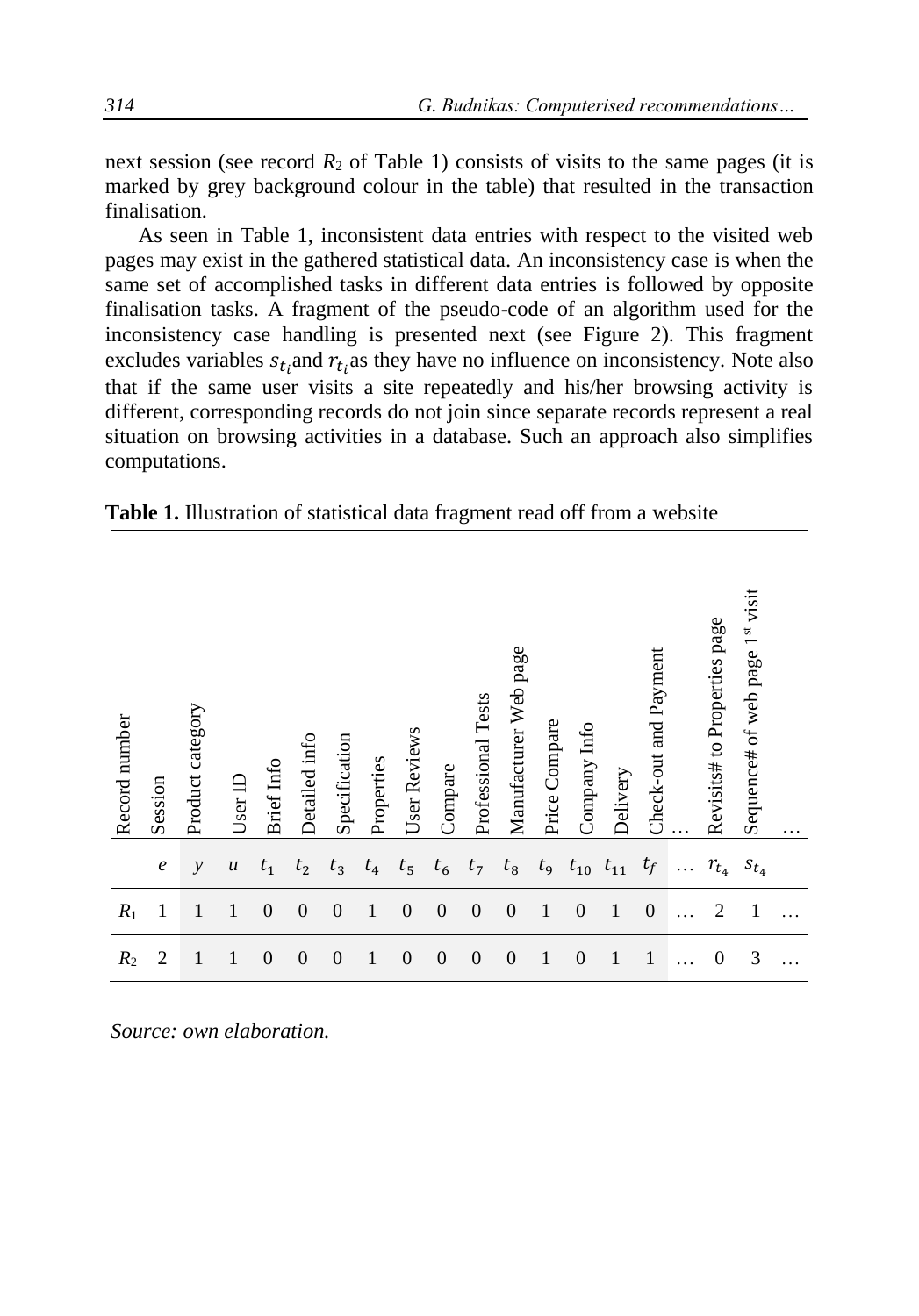next session (see record  $R_2$  of Table 1) consists of visits to the same pages (it is marked by grey background colour in the table) that resulted in the transaction finalisation.

As seen in Table 1, inconsistent data entries with respect to the visited web pages may exist in the gathered statistical data. An inconsistency case is when the same set of accomplished tasks in different data entries is followed by opposite finalisation tasks. A fragment of the pseudo-code of an algorithm used for the inconsistency case handling is presented next (see Figure 2). This fragment excludes variables  $s_{t_i}$  and  $r_{t_i}$  as they have no influence on inconsistency. Note also that if the same user visits a site repeatedly and his/her browsing activity is different, corresponding records do not join since separate records represent a real situation on browsing activities in a database. Such an approach also simplifies computations.

|  |  |  |  | Table 1. Illustration of statistical data fragment read off from a website |  |
|--|--|--|--|----------------------------------------------------------------------------|--|
|--|--|--|--|----------------------------------------------------------------------------|--|

| Record number | Session          | Product category | $Use$ r $ID$     | <b>Brief</b> Info | Detailed info    | Specification    | Properties   | User Reviews | Compare  | Professional Tests | Manufacturer Web page | Price Compare | Company Info   | Delivery     | Check-out and Payment | Revisits# to Properties page | Sequence# of web page 1st visit | . |
|---------------|------------------|------------------|------------------|-------------------|------------------|------------------|--------------|--------------|----------|--------------------|-----------------------|---------------|----------------|--------------|-----------------------|------------------------------|---------------------------------|---|
|               | $\boldsymbol{e}$ | $\mathcal{Y}$    | $\boldsymbol{u}$ | $t_1$             | $t_{2}$          | $t_3$            | $t_4$        | $t_{5}$      | $t_6$    | $t_7$              | $t_8$                 | $t_{9}$       | $t_{10}$       | $t_{11}$     | $t_f$                 | $r_{t_4}$                    | $s_{t_4}$                       |   |
| $R_1$         | 1                | 1                | $\mathbf{1}$     | $\overline{0}$    | $\theta$         | $\theta$         | 1            | $\theta$     | $\theta$ | $\theta$           | $\theta$              | 1             | $\overline{0}$ | 1            | $\mathbf{0}$          | $\overline{2}$               | $\mathbf{1}$                    |   |
| $R_2$         | $\overline{2}$   | 1                | 1                | $\boldsymbol{0}$  | $\boldsymbol{0}$ | $\boldsymbol{0}$ | $\mathbf{1}$ | $\theta$     | $\theta$ | $\boldsymbol{0}$   | $\overline{0}$        | $\mathbf{1}$  | $\overline{0}$ | $\mathbf{1}$ | $\mathbf{1}$          | $\theta$                     | 3                               |   |

*Source: own elaboration.*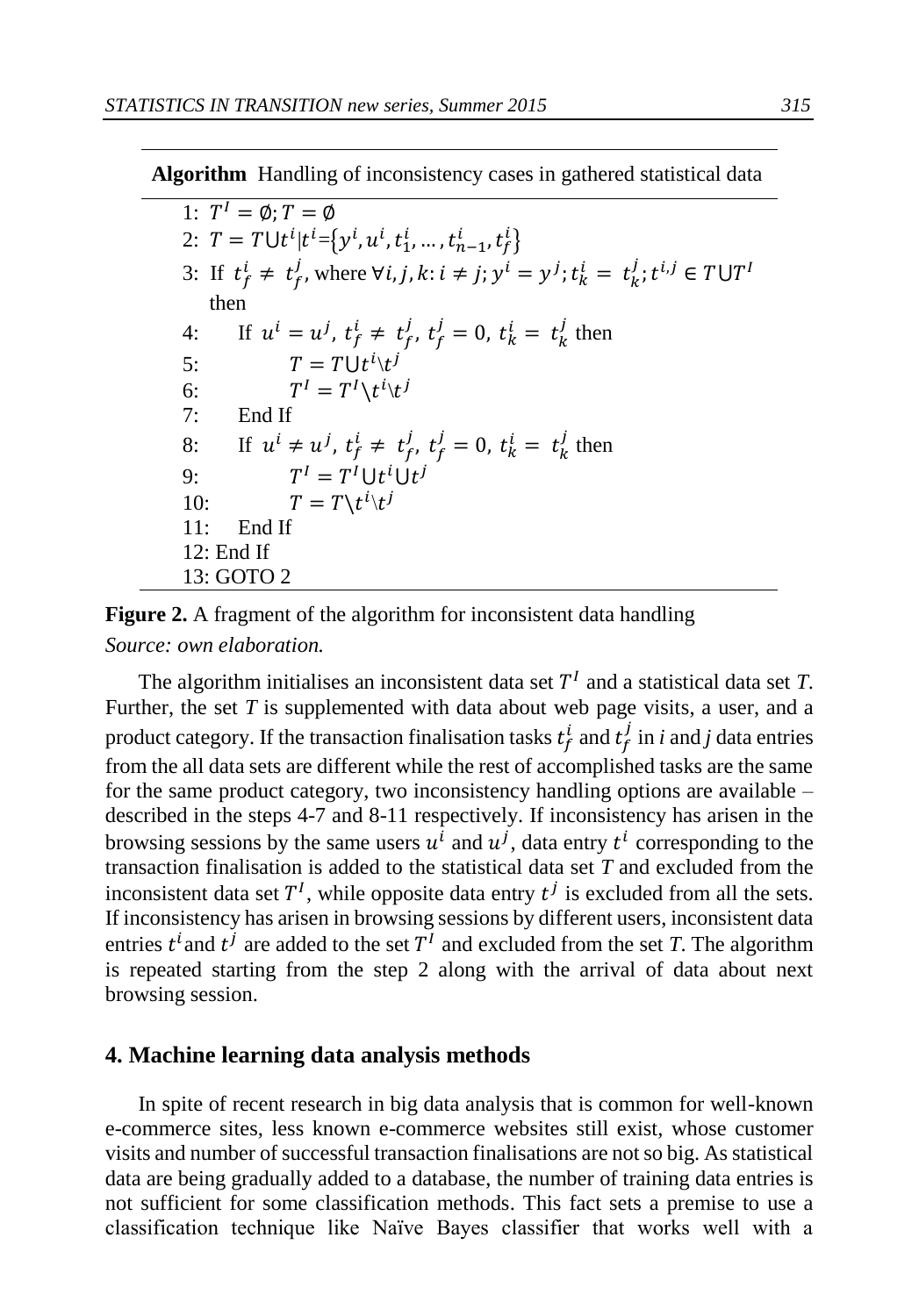**Algorithm** Handling of inconsistency cases in gathered statistical data

1:  $T^I = \emptyset$ ;  $T = \emptyset$ 2:  $T = T \cup t^i | t^i = \left\{ y^i, u^i, t_1^i, ..., t_{n-1}^i, t_f^i \right\}$ 3: If  $t_f^i \neq t_f^j$ , where  $\forall i, j, k: i \neq j; y^i = y^j; t_k^i = t_k^j; t^{i,j} \in T \cup T^1$  then 4: If  $u^{i} = u^{j}$ ,  $t_{f}^{i} \neq t_{f}^{j}$ ,  $t_{f}^{j} = 0$ ,  $t_{k}^{i} = t_{k}^{j}$  then 5:  $T = T \cup t^i \setminus t^j$ 6:  $I = T^I \backslash t^i \backslash t^j$ 7: End If 8: If  $u^i \neq u^j$ ,  $t_f^i \neq t_f^j$ ,  $t_f^j = 0$ ,  $t_k^i = t_k^j$  then 9:  $I = T^I \cup t^i \cup t^j$ 10:  $T = T \setminus t^{i} \setminus t^{j}$ 11: End If 12: End If 13: GOTO 2

**Figure 2.** A fragment of the algorithm for inconsistent data handling *Source: own elaboration.* 

The algorithm initialises an inconsistent data set  $T<sup>I</sup>$  and a statistical data set  $T$ . Further, the set *T* is supplemented with data about web page visits, a user, and a product category. If the transaction finalisation tasks  $t_f^i$  and  $t_f^j$  in *i* and *j* data entries from the all data sets are different while the rest of accomplished tasks are the same for the same product category, two inconsistency handling options are available – described in the steps 4-7 and 8-11 respectively. If inconsistency has arisen in the browsing sessions by the same users  $u^i$  and  $u^j$ , data entry  $t^i$  corresponding to the transaction finalisation is added to the statistical data set *T* and excluded from the inconsistent data set  $T<sup>I</sup>$ , while opposite data entry  $t<sup>j</sup>$  is excluded from all the sets. If inconsistency has arisen in browsing sessions by different users, inconsistent data entries  $t^i$  and  $t^j$  are added to the set  $T^I$  and excluded from the set *T*. The algorithm is repeated starting from the step 2 along with the arrival of data about next browsing session.

#### **4. Machine learning data analysis methods**

In spite of recent research in big data analysis that is common for well-known e-commerce sites, less known e-commerce websites still exist, whose customer visits and number of successful transaction finalisations are not so big. As statistical data are being gradually added to a database, the number of training data entries is not sufficient for some classification methods. This fact sets a premise to use a classification technique like Naïve Bayes classifier that works well with a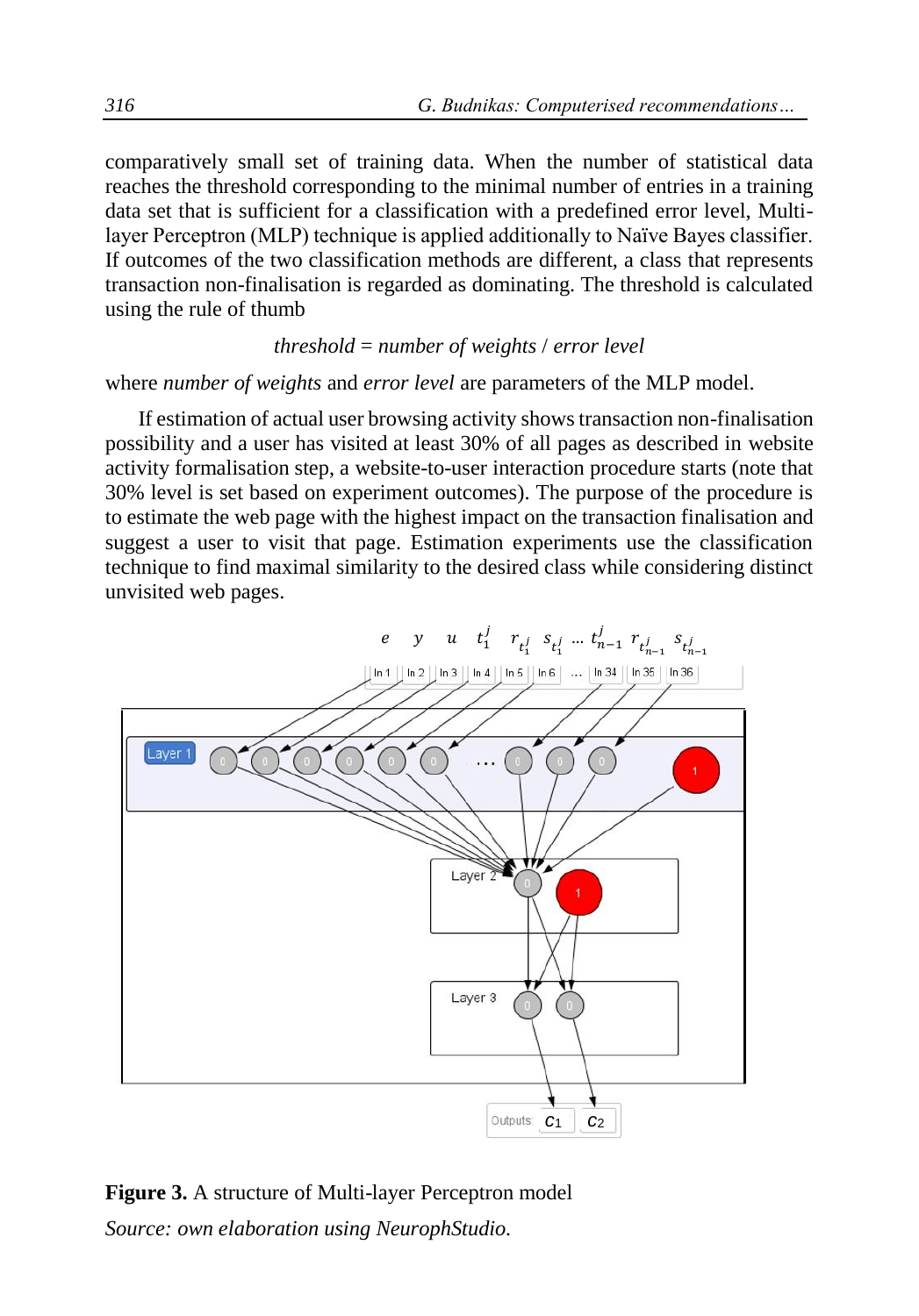comparatively small set of training data. When the number of statistical data reaches the threshold corresponding to the minimal number of entries in a training data set that is sufficient for a classification with a predefined error level, Multilayer Perceptron (MLP) technique is applied additionally to Naïve Bayes classifier. If outcomes of the two classification methods are different, a class that represents transaction non-finalisation is regarded as dominating. The threshold is calculated using the rule of thumb

#### *threshold* = *number of weights* / *error level*

where *number of weights* and *error level* are parameters of the MLP model.

If estimation of actual user browsing activity shows transaction non-finalisation possibility and a user has visited at least 30% of all pages as described in website activity formalisation step, a website-to-user interaction procedure starts (note that 30% level is set based on experiment outcomes). The purpose of the procedure is to estimate the web page with the highest impact on the transaction finalisation and suggest a user to visit that page. Estimation experiments use the classification technique to find maximal similarity to the desired class while considering distinct unvisited web pages.



## **Figure 3.** A structure of Multi-layer Perceptron model *Source: own elaboration using NeurophStudio.*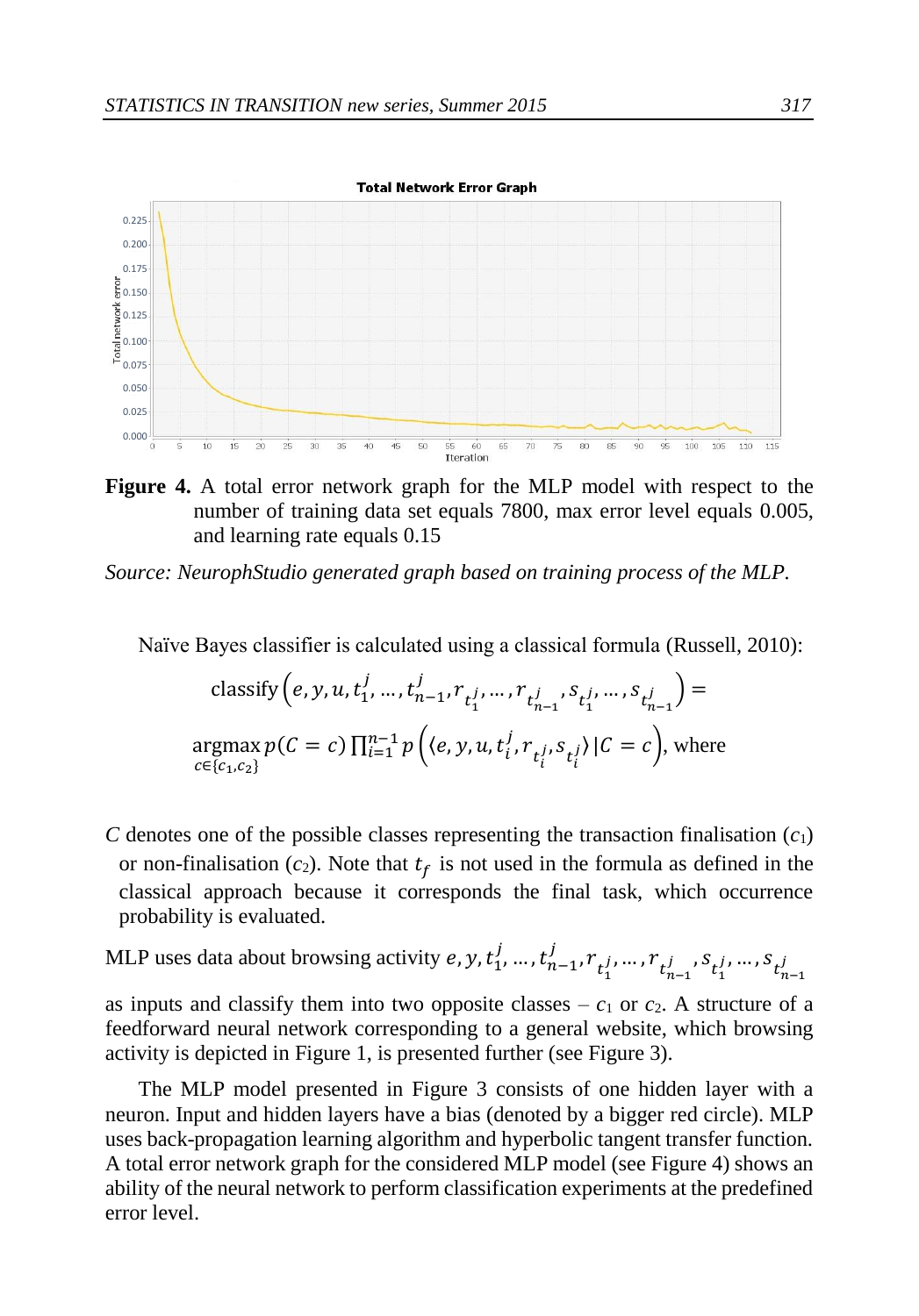

**Figure 4.** A total error network graph for the MLP model with respect to the number of training data set equals 7800, max error level equals 0.005, and learning rate equals 0.15

*Source: NeurophStudio generated graph based on training process of the MLP.* 

Naïve Bayes classifier is calculated using a classical formula (Russell, 2010):

$$
\begin{aligned}\n\text{classify}\left(e, y, u, t_1^j, \dots, t_{n-1}^j, r_{t_1^j}, \dots, r_{t_{n-1}^j}, s_{t_1^j}, \dots, s_{t_{n-1}^j}\right) &= \\
\text{argmax}\, p(C = c) \prod_{i=1}^{n-1} p\left(\langle e, y, u, t_i^j, r_{t_i^j}, s_{t_i^j}\rangle \, | C = c\right), \text{where} \\
\text{where}\n\end{aligned}
$$

- *C* denotes one of the possible classes representing the transaction finalisation  $(c_1)$ or non-finalisation  $(c_2)$ . Note that  $t_f$  is not used in the formula as defined in the classical approach because it corresponds the final task, which occurrence probability is evaluated.
- MLP uses data about browsing activity  $e, y, t_1^j, ..., t_{n-1}^j, r_{t_1^j}, ..., r_{t_{n-1}^j}^j, s_{t_1^j}, ..., s_{t_{n-1}^j}$

as inputs and classify them into two opposite classes –  $c_1$  or  $c_2$ . A structure of a feedforward neural network corresponding to a general website, which browsing activity is depicted in Figure 1, is presented further (see Figure 3).

The MLP model presented in Figure 3 consists of one hidden layer with a neuron. Input and hidden layers have a bias (denoted by a bigger red circle). MLP uses back-propagation learning algorithm and hyperbolic tangent transfer function. A total error network graph for the considered MLP model (see Figure 4) shows an ability of the neural network to perform classification experiments at the predefined error level.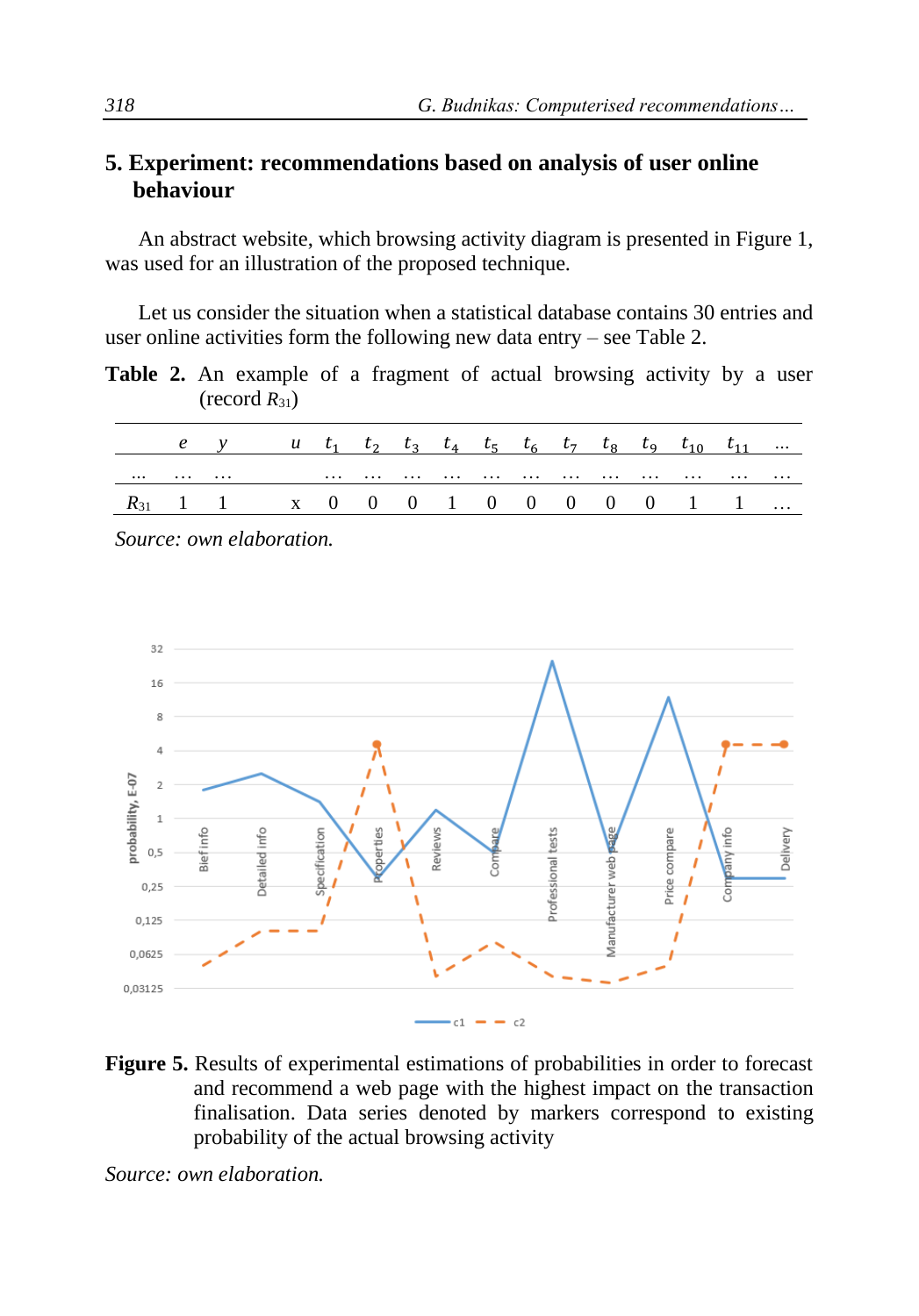### **5. Experiment: recommendations based on analysis of user online behaviour**

An abstract website, which browsing activity diagram is presented in Figure 1, was used for an illustration of the proposed technique.

Let us consider the situation when a statistical database contains 30 entries and user online activities form the following new data entry – see Table 2.

**Table 2.** An example of a fragment of actual browsing activity by a user  $(\text{record } R_{31})$ 

|   |   | e y u $t_1$ $t_2$ $t_3$ $t_4$ $t_5$ $t_6$ $t_7$ $t_8$ $t_9$ $t_{10}$ $t_{11}$ |  |  |  |  |  |   |
|---|---|-------------------------------------------------------------------------------|--|--|--|--|--|---|
| . | . |                                                                               |  |  |  |  |  | . |
|   |   | $R_{31}$ 1 1 x 0 0 0 1 0 0 0 0 0 1 1                                          |  |  |  |  |  |   |

*Source: own elaboration.*



**Figure 5.** Results of experimental estimations of probabilities in order to forecast and recommend a web page with the highest impact on the transaction finalisation. Data series denoted by markers correspond to existing probability of the actual browsing activity

*Source: own elaboration.*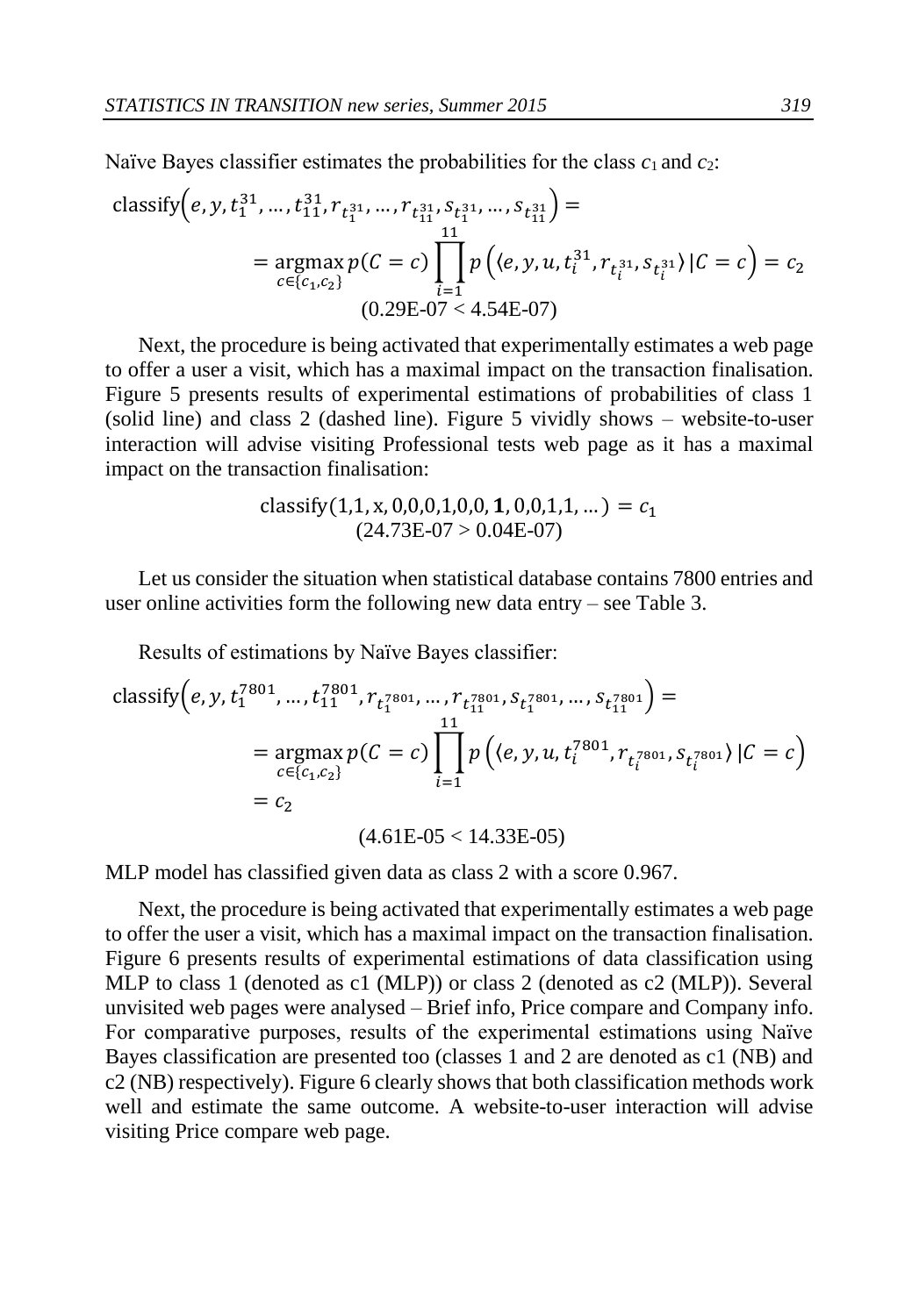Naïve Bayes classifier estimates the probabilities for the class  $c_1$  and  $c_2$ :

$$
\begin{aligned}\n\text{classify}\Big(e, y, t_1^{31}, \dots, t_{11}^{31}, r_{t_1^{31}}, \dots, r_{t_{11}^{31}}, s_{t_1^{31}}, \dots, s_{t_{11}^{31}}\Big) &= \\
&= \operatorname*{argmax}_{c \in \{c_1, c_2\}} p\Big((e, y, u, t_i^{31}, r_{t_i^{31}}, s_{t_i^{31}}) \, | \, C = c\Big) = c_2 \\
&\quad (0.29 \text{E} - 07 < 4.54 \text{E} - 07)\n\end{aligned}
$$

Next, the procedure is being activated that experimentally estimates a web page to offer a user a visit, which has a maximal impact on the transaction finalisation. Figure 5 presents results of experimental estimations of probabilities of class 1 (solid line) and class 2 (dashed line). Figure 5 vividly shows – website-to-user interaction will advise visiting Professional tests web page as it has a maximal impact on the transaction finalisation:

> classify(1,1, x, 0,0,0,1,0,0, 1, 0,0,1,1, ...) =  $c_1$  $(24.73E-07 > 0.04E-07)$

Let us consider the situation when statistical database contains 7800 entries and user online activities form the following new data entry – see Table 3.

Results of estimations by Naïve Bayes classifier:

$$
\begin{aligned}\n\text{classify}\Big(e, y, t_1^{7801}, \dots, t_{11}^{7801}, r_{t_1^{7801}}, \dots, r_{t_{11}^{7801}}, s_{t_1^{7801}}, \dots, s_{t_{11}^{7801}}\Big) &= \\
&= \operatorname*{argmax}_{c \in \{c_1, c_2\}} p\Big( c = c \Big) \prod_{i=1}^{11} p\Big( \langle e, y, u, t_i^{7801}, r_{t_i^{7801}}, s_{t_i^{7801}} \rangle \, | C = c \Big) \\
&= c_2 \\
&\qquad (4.61 \text{E} - 05 < 14.33 \text{E} - 05)\n\end{aligned}
$$

MLP model has classified given data as class 2 with a score 0.967.

Next, the procedure is being activated that experimentally estimates a web page to offer the user a visit, which has a maximal impact on the transaction finalisation. Figure 6 presents results of experimental estimations of data classification using MLP to class 1 (denoted as c1 (MLP)) or class 2 (denoted as c2 (MLP)). Several unvisited web pages were analysed – Brief info, Price compare and Company info. For comparative purposes, results of the experimental estimations using Naïve Bayes classification are presented too (classes 1 and 2 are denoted as c1 (NB) and c2 (NB) respectively). Figure 6 clearly shows that both classification methods work well and estimate the same outcome. A website-to-user interaction will advise visiting Price compare web page.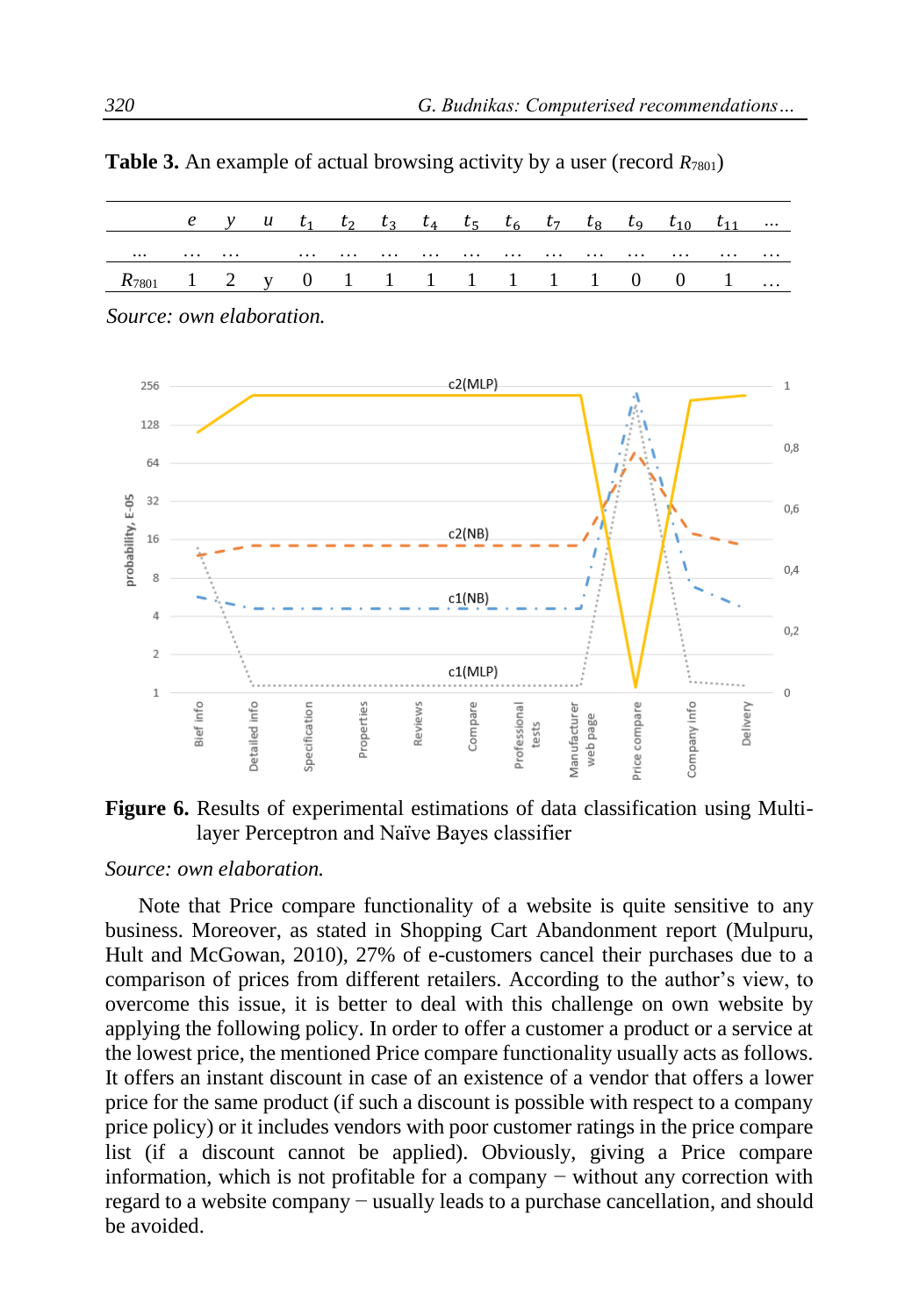|                                        |          |   |  |  |  |  |   | e y u $t_1$ $t_2$ $t_3$ $t_4$ $t_5$ $t_6$ $t_7$ $t_8$ $t_9$ $t_{10}$ $t_{11}$ |   |          |
|----------------------------------------|----------|---|--|--|--|--|---|-------------------------------------------------------------------------------|---|----------|
| $\cdots$                               | $\cdots$ | . |  |  |  |  | . |                                                                               | . | $\cdots$ |
| $R_{7801}$ 1 2 y 0 1 1 1 1 1 1 1 0 0 1 |          |   |  |  |  |  |   |                                                                               |   |          |

**Table 3.** An example of actual browsing activity by a user (record *R*<sub>7801</sub>)



*Source: own elaboration.*



#### *Source: own elaboration.*

Note that Price compare functionality of a website is quite sensitive to any business. Moreover, as stated in Shopping Cart Abandonment report (Mulpuru, Hult and McGowan, 2010), 27% of e-customers cancel their purchases due to a comparison of prices from different retailers. According to the author's view, to overcome this issue, it is better to deal with this challenge on own website by applying the following policy. In order to offer a customer a product or a service at the lowest price, the mentioned Price compare functionality usually acts as follows. It offers an instant discount in case of an existence of a vendor that offers a lower price for the same product (if such a discount is possible with respect to a company price policy) or it includes vendors with poor customer ratings in the price compare list (if a discount cannot be applied). Obviously, giving a Price compare information, which is not profitable for a company − without any correction with regard to a website company − usually leads to a purchase cancellation, and should be avoided.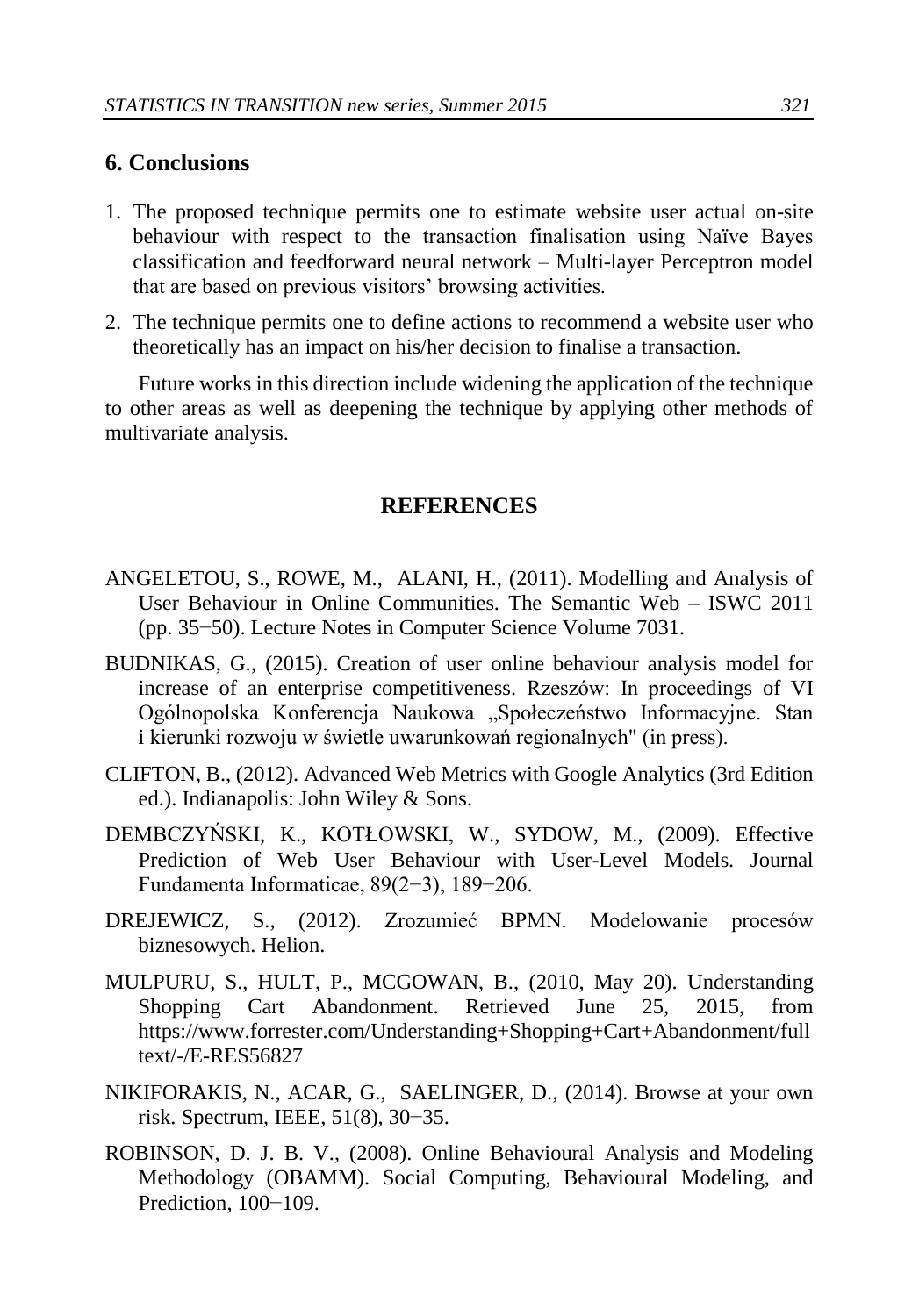## **6. Conclusions**

- 1. The proposed technique permits one to estimate website user actual on-site behaviour with respect to the transaction finalisation using Naïve Bayes classification and feedforward neural network – Multi-layer Perceptron model that are based on previous visitors' browsing activities.
- 2. The technique permits one to define actions to recommend a website user who theoretically has an impact on his/her decision to finalise a transaction.

Future works in this direction include widening the application of the technique to other areas as well as deepening the technique by applying other methods of multivariate analysis.

#### **REFERENCES**

- ANGELETOU, S., ROWE, M., ALANI, H., (2011). Modelling and Analysis of User Behaviour in Online Communities. The Semantic Web – ISWC 2011 (pp. 35−50). Lecture Notes in Computer Science Volume 7031.
- BUDNIKAS, G., (2015). Creation of user online behaviour analysis model for increase of an enterprise competitiveness. Rzeszów: In proceedings of VI Ogólnopolska Konferencja Naukowa "Społeczeństwo Informacyjne. Stan i kierunki rozwoju w świetle uwarunkowań regionalnych" (in press).
- CLIFTON, B., (2012). Advanced Web Metrics with Google Analytics (3rd Edition ed.). Indianapolis: John Wiley & Sons.
- DEMBCZYŃSKI, K., KOTŁOWSKI, W., SYDOW, M., (2009). Effective Prediction of Web User Behaviour with User-Level Models. Journal Fundamenta Informaticae, 89(2−3), 189−206.
- DREJEWICZ, S., (2012). Zrozumieć BPMN. Modelowanie procesów biznesowych. Helion.
- MULPURU, S., HULT, P., MCGOWAN, B., (2010, May 20). Understanding Shopping Cart Abandonment. Retrieved June 25, 2015, from https://www.forrester.com/Understanding+Shopping+Cart+Abandonment/full text/-/E-RES56827
- NIKIFORAKIS, N., ACAR, G., SAELINGER, D., (2014). Browse at your own risk. Spectrum, IEEE, 51(8), 30−35.
- ROBINSON, D. J. B. V., (2008). Online Behavioural Analysis and Modeling Methodology (OBAMM). Social Computing, Behavioural Modeling, and Prediction, 100−109.